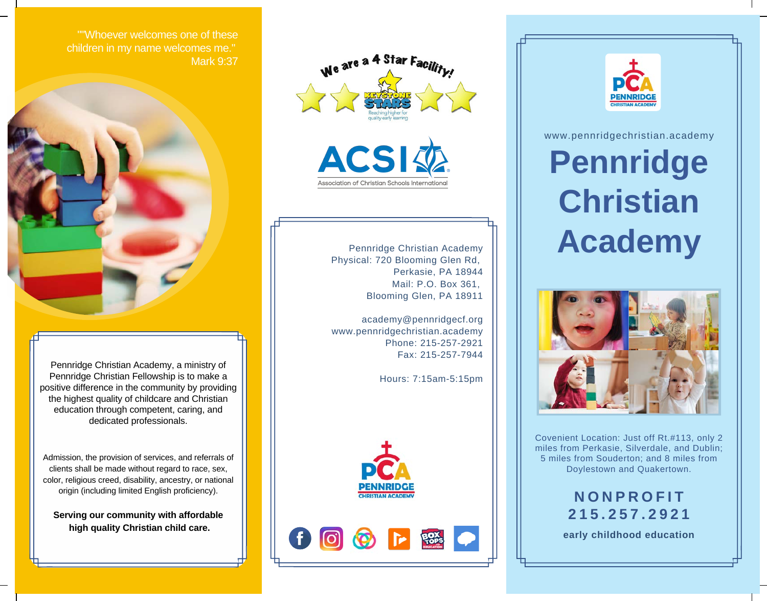""Whoever welcomes one of these children in my name welcomes me." Mark 9:37



Pennridge Christian Academy, a ministry of Pennridge Christian Fellowship is to make a positive difference in the community by providing the highest quality of childcare and Christian education through competent, caring, and dedicated professionals.

Admission, the provision of services, and referrals of clients shall be made without regard to race, sex, color, religious creed, disability, ancestry, or national origin (including limited English proficiency).

**Serving our community with affordable high quality Christian child care.**





Pennridge Christian Academy Physical: 720 Blooming Glen Rd, Perkasie, PA 18944 Mail: P.O. Box 361, Blooming Glen, PA 18911

academy@pennridgecf.org www.pennridgechristian.academy Phone: 215-257-2921 Fax: 215-257-7944

Hours: 7:15am-5:15pm







www.pennridgechristian.academy **Pennridge Christian Academy**



Covenient Location: Just off Rt.#113, only 2 miles from Perkasie, Silverdale, and Dublin; 5 miles from Souderton; and 8 miles from Doylestown and Quakertown.

> **N O N P R O F I T 2 1 5 . 2 5 7 . 2 9 2 1**

**early childhood education**